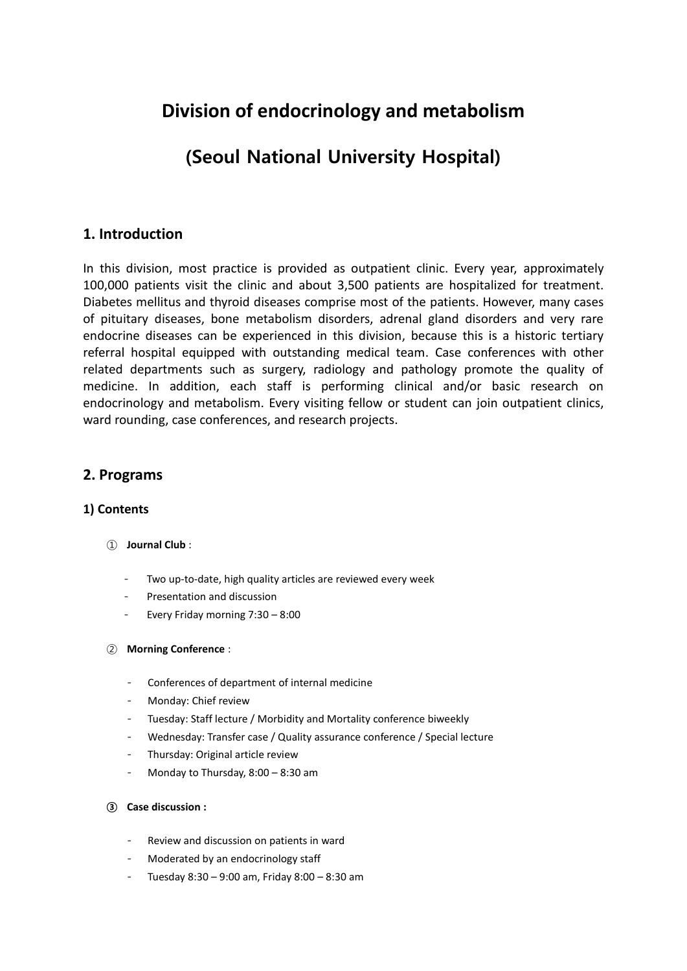# **Division of endocrinology and metabolism**

# (Seoul National University Hospital)

# **1. Introduction**

In this division, most practice is provided as outpatient clinic. Every year, approximately 100,000 patients visit the clinic and about 3,500 patients are hospitalized for treatment. Diabetes mellitus and thyroid diseases comprise most of the patients. However, many cases of pituitary diseases, bone metabolism disorders, adrenal gland disorders and very rare endocrine diseases can be experienced in this division, because this is a historic tertiary referral hospital equipped with outstanding medical team. Case conferences with other related departments such as surgery, radiology and pathology promote the quality of medicine. In addition, each staff is performing clinical and/or basic research on endocrinology and metabolism. Every visiting fellow or student can join outpatient clinics, ward rounding, case conferences, and research projects.

# **2. Programs**

## **1) Contents**

- ① **Journal Club** :
	- Two up-to-date, high quality articles are reviewed every week
	- Presentation and discussion
	- Every Friday morning 7:30 8:00

### ② **Morning Conference** :

- Conferences of department of internal medicine
- Monday: Chief review
- Tuesday: Staff lecture / Morbidity and Mortality conference biweekly
- Wednesday: Transfer case / Quality assurance conference / Special lecture
- Thursday: Original article review
- Monday to Thursday,  $8:00 8:30$  am
- ③ **Case discussion :** 
	- Review and discussion on patients in ward
	- Moderated by an endocrinology staff
	- Tuesday  $8:30 9:00$  am, Friday  $8:00 8:30$  am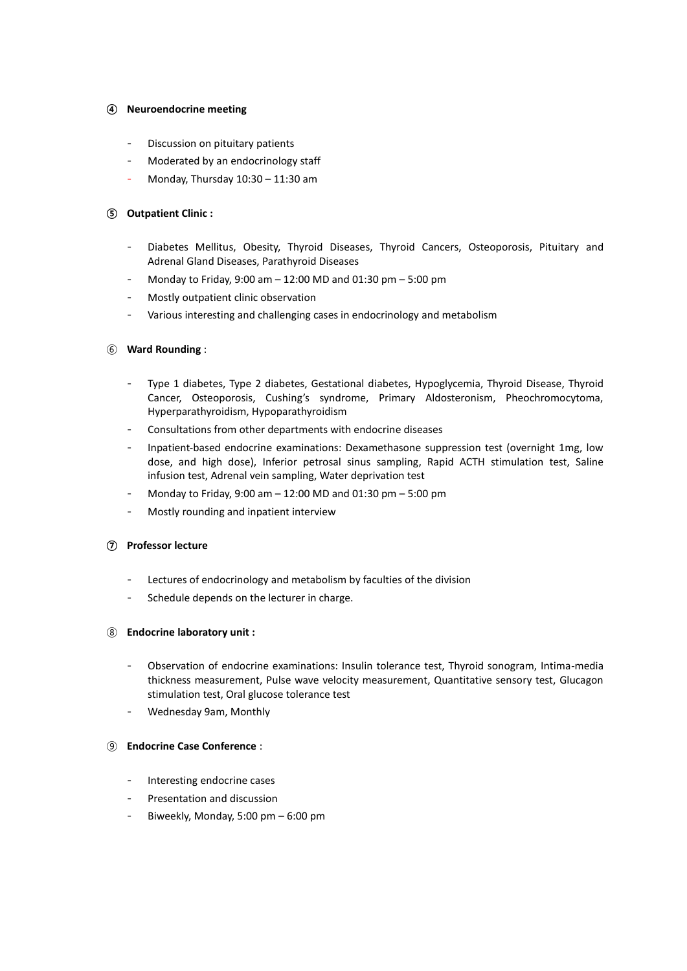#### ④ **Neuroendocrine meeting**

- Discussion on pituitary patients
- Moderated by an endocrinology staff
- Monday, Thursday  $10:30 11:30$  am

#### ⑤ **Outpatient Clinic :**

- Diabetes Mellitus, Obesity, Thyroid Diseases, Thyroid Cancers, Osteoporosis, Pituitary and Adrenal Gland Diseases, Parathyroid Diseases
- Monday to Friday, 9:00 am  $12:00$  MD and 01:30 pm  $5:00$  pm
- Mostly outpatient clinic observation
- Various interesting and challenging cases in endocrinology and metabolism

#### ⑥ **Ward Rounding** :

- Type 1 diabetes, Type 2 diabetes, Gestational diabetes, Hypoglycemia, Thyroid Disease, Thyroid Cancer, Osteoporosis, Cushing's syndrome, Primary Aldosteronism, Pheochromocytoma, Hyperparathyroidism, Hypoparathyroidism
- Consultations from other departments with endocrine diseases
- Inpatient-based endocrine examinations: Dexamethasone suppression test (overnight 1mg, low dose, and high dose), Inferior petrosal sinus sampling, Rapid ACTH stimulation test, Saline infusion test, Adrenal vein sampling, Water deprivation test
- Monday to Friday, 9:00 am  $12:00$  MD and 01:30 pm  $5:00$  pm
- Mostly rounding and inpatient interview

#### ⑦ **Professor lecture**

- Lectures of endocrinology and metabolism by faculties of the division
- Schedule depends on the lecturer in charge.

#### ⑧ **Endocrine laboratory unit :**

- Observation of endocrine examinations: Insulin tolerance test, Thyroid sonogram, Intima-media thickness measurement, Pulse wave velocity measurement, Quantitative sensory test, Glucagon stimulation test, Oral glucose tolerance test
- Wednesday 9am, Monthly

#### ⑨ **Endocrine Case Conference** :

- Interesting endocrine cases
- Presentation and discussion
- Biweekly, Monday, 5:00 pm  $-$  6:00 pm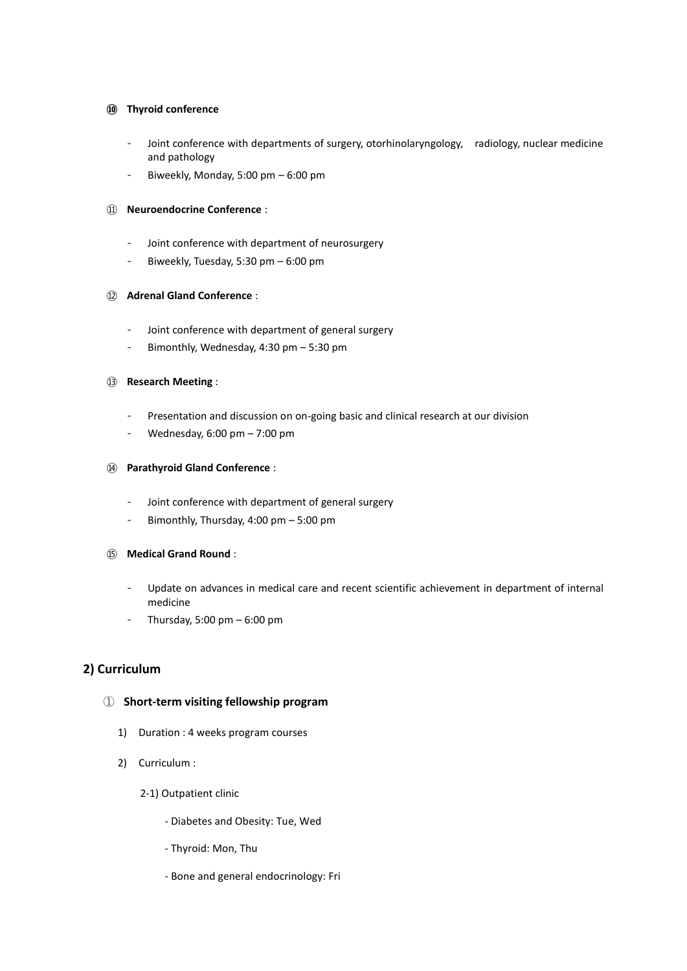#### ⑩ **Thyroid conference**

- Joint conference with departments of surgery, otorhinolaryngology, radiology, nuclear medicine and pathology
- Biweekly, Monday, 5:00 pm  $-$  6:00 pm

#### ⑪ **Neuroendocrine Conference** :

- Joint conference with department of neurosurgery
- Biweekly, Tuesday, 5:30 pm 6:00 pm

#### ⑫ **Adrenal Gland Conference** :

- Joint conference with department of general surgery
- Bimonthly, Wednesday,  $4:30$  pm  $5:30$  pm

#### ⑬ **Research Meeting** :

- Presentation and discussion on on-going basic and clinical research at our division
- Wednesday,  $6:00 \text{ pm} 7:00 \text{ pm}$

#### ⑭ **Parathyroid Gland Conference** :

- Joint conference with department of general surgery
- Bimonthly, Thursday, 4:00 pm 5:00 pm

#### ⑮ **Medical Grand Round** :

- Update on advances in medical care and recent scientific achievement in department of internal medicine
- Thursday, 5:00 pm  $-$  6:00 pm

## **2) Curriculum**

### ① **Short-term visiting fellowship program**

- 1) Duration : 4 weeks program courses
- 2) Curriculum :
	- 2-1) Outpatient clinic
		- Diabetes and Obesity: Tue, Wed
		- Thyroid: Mon, Thu
		- Bone and general endocrinology: Fri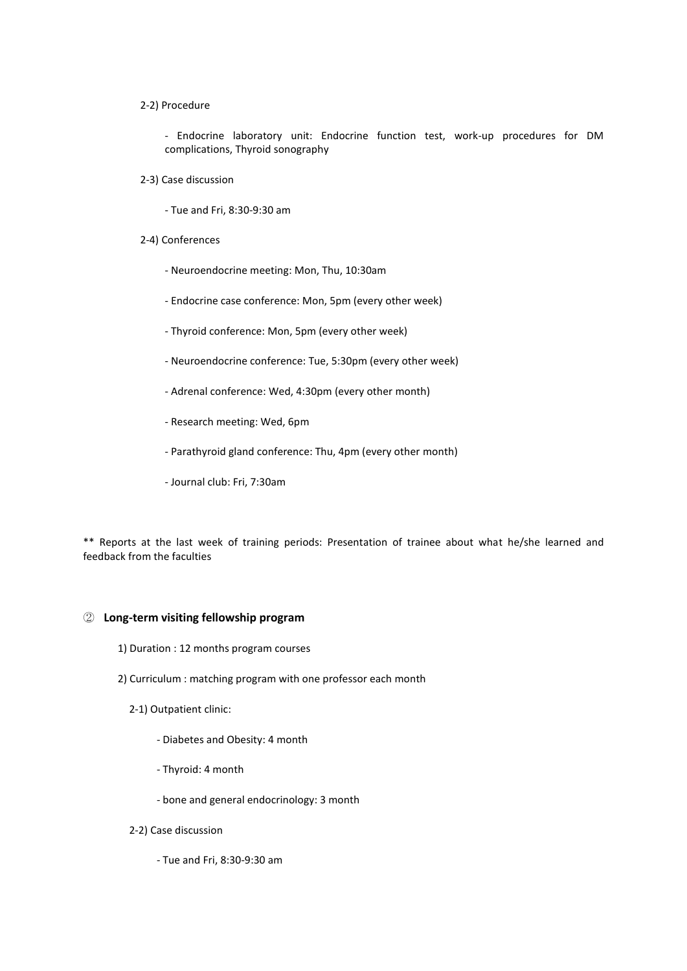#### 2-2) Procedure

- Endocrine laboratory unit: Endocrine function test, work-up procedures for DM complications, Thyroid sonography

- 2-3) Case discussion
	- Tue and Fri, 8:30-9:30 am
- 2-4) Conferences
	- Neuroendocrine meeting: Mon, Thu, 10:30am
	- Endocrine case conference: Mon, 5pm (every other week)
	- Thyroid conference: Mon, 5pm (every other week)
	- Neuroendocrine conference: Tue, 5:30pm (every other week)
	- Adrenal conference: Wed, 4:30pm (every other month)
	- Research meeting: Wed, 6pm
	- Parathyroid gland conference: Thu, 4pm (every other month)
	- Journal club: Fri, 7:30am

\*\* Reports at the last week of training periods: Presentation of trainee about what he/she learned and feedback from the faculties

#### ② **Long-term visiting fellowship program**

- 1) Duration : 12 months program courses
- 2) Curriculum : matching program with one professor each month
	- 2-1) Outpatient clinic:
		- Diabetes and Obesity: 4 month
		- Thyroid: 4 month
		- bone and general endocrinology: 3 month
	- 2-2) Case discussion
		- Tue and Fri, 8:30-9:30 am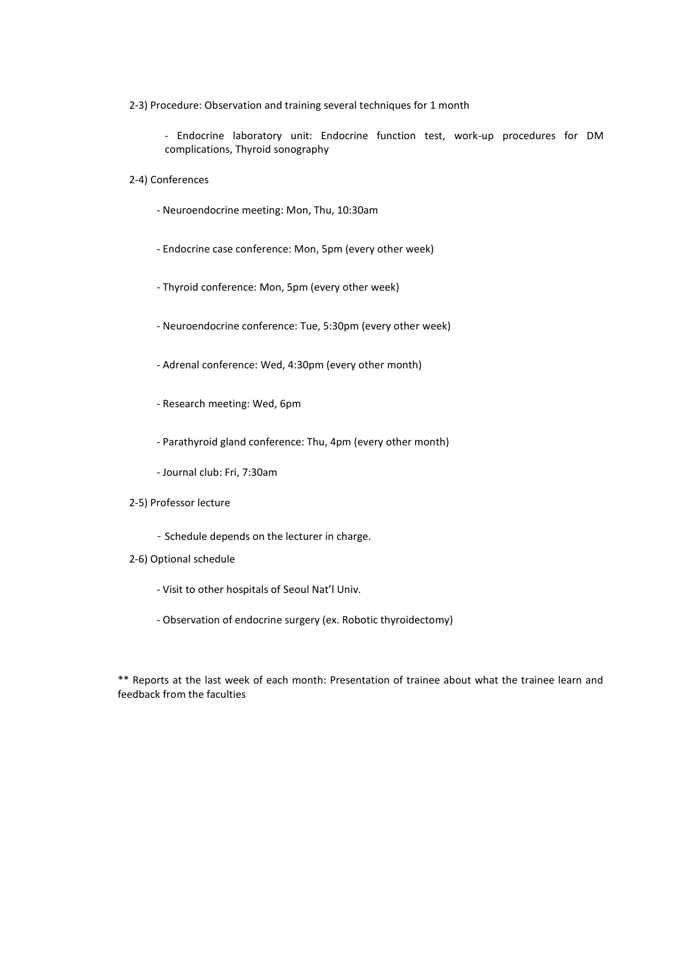2-3) Procedure: Observation and training several techniques for 1 month

- Endocrine laboratory unit: Endocrine function test, work-up procedures for DM complications, Thyroid sonography

- 2-4) Conferences
	- Neuroendocrine meeting: Mon, Thu, 10:30am
	- Endocrine case conference: Mon, 5pm (every other week)
	- Thyroid conference: Mon, 5pm (every other week)
	- Neuroendocrine conference: Tue, 5:30pm (every other week)
	- Adrenal conference: Wed, 4:30pm (every other month)
	- Research meeting: Wed, 6pm
	- Parathyroid gland conference: Thu, 4pm (every other month)
	- Journal club: Fri, 7:30am
- 2-5) Professor lecture
	- Schedule depends on the lecturer in charge.
- 2-6) Optional schedule
	- Visit to other hospitals of Seoul Nat'l Univ.
	- Observation of endocrine surgery (ex. Robotic thyroidectomy)

\*\* Reports at the last week of each month: Presentation of trainee about what the trainee learn and feedback from the faculties